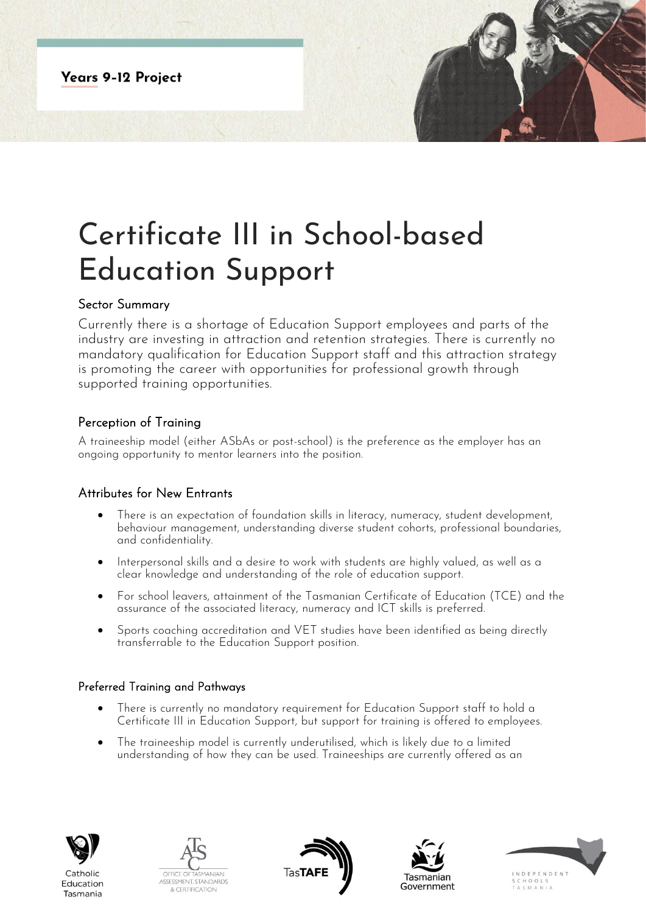**Years 9-12 Project** 

# Certificate III in School-based Education Support

#### Sector Summary

Currently there is a shortage of Education Support employees and parts of the industry are investing in attraction and retention strategies. There is currently no mandatory qualification for Education Support staff and this attraction strategy is promoting the career with opportunities for professional arowth through supported training opportunities.

## Perception of Training

A traineeship model (either ASbAs or post-school) is the preference as the employer has an ongoing opportunity to mentor learners into the position.

## Attributes for New Entrants

- There is an expectation of foundation skills in literacy, numeracy, student development, behaviour management, understanding diverse student cohorts, professional boundaries, and confidentiality.
- Interpersonal skills and a desire to work with students are highly valued, as well as a clear knowledge and understanding of the role of education support.
- For school leavers, attainment of the Tasmanian Certificate of Education (TCE) and the assurance of the associated literacy, numeracy and ICT skills is preferred.
- Sports coaching accreditation and VET studies have been identified as being directly transferrable to the Education Support position.

#### Preferred Training and Pathways

- There is currently no mandatory requirement for Education Support staff to hold a Certificate III in Education Support, but support for training is offered to employees.
- The traineeship model is currently underutilised, which is likely due to a limited understanding of how they can be used. Traineeships are currently offered as an



Education

Tasmania